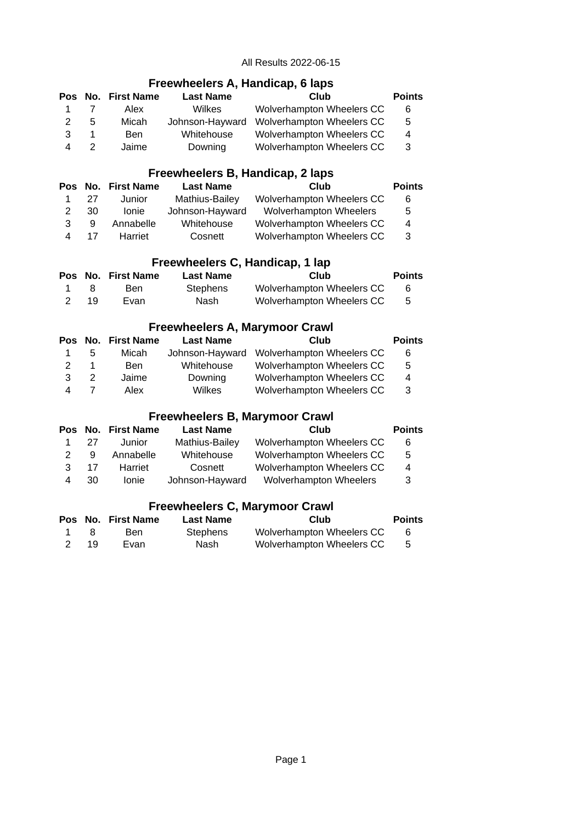## **Freewheelers A, Handicap, 6 laps**

|   |   | Pos No. First Name | <b>Last Name</b> | Club                      | <b>Points</b> |
|---|---|--------------------|------------------|---------------------------|---------------|
|   |   | Alex               | <b>Wilkes</b>    | Wolverhampton Wheelers CC | 6             |
| 2 | 5 | Micah              | Johnson-Hayward  | Wolverhampton Wheelers CC | 5             |
| ર |   | Ben                | Whitehouse       | Wolverhampton Wheelers CC | 4             |
|   |   | Jaime              | Downing          | Wolverhampton Wheelers CC | 3             |

#### **Freewheelers B, Handicap, 2 laps**

|   |    | Pos No. First Name | <b>Last Name</b> | Club                          | <b>Points</b> |
|---|----|--------------------|------------------|-------------------------------|---------------|
|   | 27 | Junior             | Mathius-Bailey   | Wolverhampton Wheelers CC     | 6             |
| 2 | 30 | <b>Ionie</b>       | Johnson-Hayward  | <b>Wolverhampton Wheelers</b> | 5             |
| ર | 9  | Annabelle          | Whitehouse       | Wolverhampton Wheelers CC     | 4             |
|   | 17 | Harriet            | Cosnett          | Wolverhampton Wheelers CC     | 3             |
|   |    |                    |                  |                               |               |

## **Freewheelers C, Handicap, 1 lap**

|                |    | Pos No. First Name | <b>Last Name</b> | Club                      | <b>Points</b> |
|----------------|----|--------------------|------------------|---------------------------|---------------|
| $\overline{1}$ |    | Ben.               | Stephens         | Wolverhampton Wheelers CC |               |
|                | 19 | Evan               | Nash             | Wolverhampton Wheelers CC |               |

## **Freewheelers A, Marymoor Crawl**

|   |               | Pos No. First Name | <b>Last Name</b> | Club                                      | <b>Points</b> |
|---|---------------|--------------------|------------------|-------------------------------------------|---------------|
|   | .5            | Micah              |                  | Johnson-Hayward Wolverhampton Wheelers CC | 6             |
| 2 |               | <b>Ben</b>         | Whitehouse       | Wolverhampton Wheelers CC                 | -5            |
| 3 | $\mathcal{P}$ | Jaime              | Downing          | Wolverhampton Wheelers CC                 | 4             |
|   |               | Alex               | Wilkes           | Wolverhampton Wheelers CC                 | - 3           |

## **Freewheelers B, Marymoor Crawl**

|                |    | Pos No. First Name | <b>Last Name</b> | Club                      | <b>Points</b> |
|----------------|----|--------------------|------------------|---------------------------|---------------|
| $\overline{1}$ | 27 | Junior             | Mathius-Bailey   | Wolverhampton Wheelers CC | 6             |
| $\mathcal{P}$  | -9 | Annabelle          | Whitehouse       | Wolverhampton Wheelers CC | 5             |
| $\mathbf{R}$   | 17 | Harriet            | Cosnett          | Wolverhampton Wheelers CC | 4             |
| Δ              | 30 | Ionie              | Johnson-Hayward  | Wolverhampton Wheelers    | 3             |

## **Freewheelers C, Marymoor Crawl**

|                |    | Pos No. First Name | <b>Last Name</b> | Club                      | <b>Points</b> |
|----------------|----|--------------------|------------------|---------------------------|---------------|
| $\overline{1}$ |    | Ben.               | Stephens         | Wolverhampton Wheelers CC |               |
|                | 19 | Evan               | Nash             | Wolverhampton Wheelers CC |               |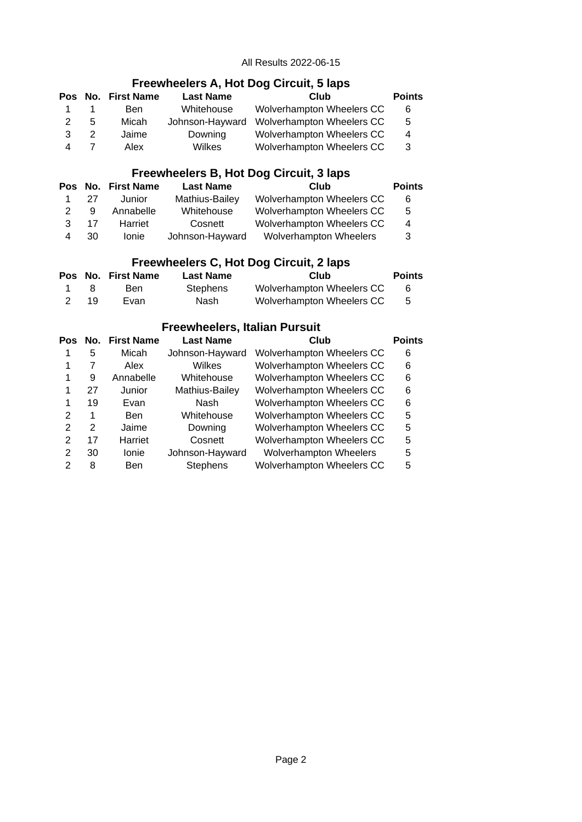## **Freewheelers A, Hot Dog Circuit, 5 laps**

|    |   | Pos No. First Name | <b>Last Name</b> | Club                                      | <b>Points</b> |
|----|---|--------------------|------------------|-------------------------------------------|---------------|
| 1. |   | Ben.               | Whitehouse       | Wolverhampton Wheelers CC                 | 6             |
| 2  | 5 | Micah              |                  | Johnson-Hayward Wolverhampton Wheelers CC | 5             |
| 3  |   | Jaime              | Downing          | Wolverhampton Wheelers CC                 | 4             |
|    |   | Alex               | Wilkes           | Wolverhampton Wheelers CC                 | 3             |

## **Freewheelers B, Hot Dog Circuit, 3 laps**

|   |    | Pos No. First Name | <b>Last Name</b> | Club                          | <b>Points</b> |
|---|----|--------------------|------------------|-------------------------------|---------------|
| 1 | 27 | Junior             | Mathius-Bailey   | Wolverhampton Wheelers CC     | 6             |
| 2 | q  | Annabelle          | Whitehouse       | Wolverhampton Wheelers CC     | 5             |
| ર | 17 | Harriet            | Cosnett          | Wolverhampton Wheelers CC     | 4             |
|   | 30 | <b>Ionie</b>       | Johnson-Hayward  | <b>Wolverhampton Wheelers</b> | 3             |

## **Freewheelers C, Hot Dog Circuit, 2 laps**

|                |    | Pos No. First Name | <b>Last Name</b> | Club                      | <b>Points</b> |
|----------------|----|--------------------|------------------|---------------------------|---------------|
| $\overline{1}$ |    | Ben                | Stephens         | Wolverhampton Wheelers CC |               |
|                | 19 | Evan               | Nash             | Wolverhampton Wheelers CC |               |

## **Freewheelers, Italian Pursuit**

| Pos           | No. | <b>First Name</b> | <b>Last Name</b> | Club                             | <b>Points</b> |
|---------------|-----|-------------------|------------------|----------------------------------|---------------|
|               | 5   | Micah             | Johnson-Hayward  | Wolverhampton Wheelers CC        | 6             |
|               | 7   | Alex              | <b>Wilkes</b>    | Wolverhampton Wheelers CC        | 6             |
| 1             | 9   | Annabelle         | Whitehouse       | Wolverhampton Wheelers CC        | 6             |
|               | 27  | Junior            | Mathius-Bailey   | Wolverhampton Wheelers CC        | 6             |
|               | 19  | Evan              | Nash             | Wolverhampton Wheelers CC        | 6             |
| 2             | 1   | <b>Ben</b>        | Whitehouse       | Wolverhampton Wheelers CC        | 5             |
| $\mathcal{P}$ | 2   | Jaime             | Downing          | Wolverhampton Wheelers CC        | 5             |
| 2             | 17  | Harriet           | Cosnett          | Wolverhampton Wheelers CC        | 5             |
| 2             | 30  | Ionie             | Johnson-Hayward  | Wolverhampton Wheelers           | 5             |
| 2             | 8   | <b>Ben</b>        | <b>Stephens</b>  | <b>Wolverhampton Wheelers CC</b> | 5             |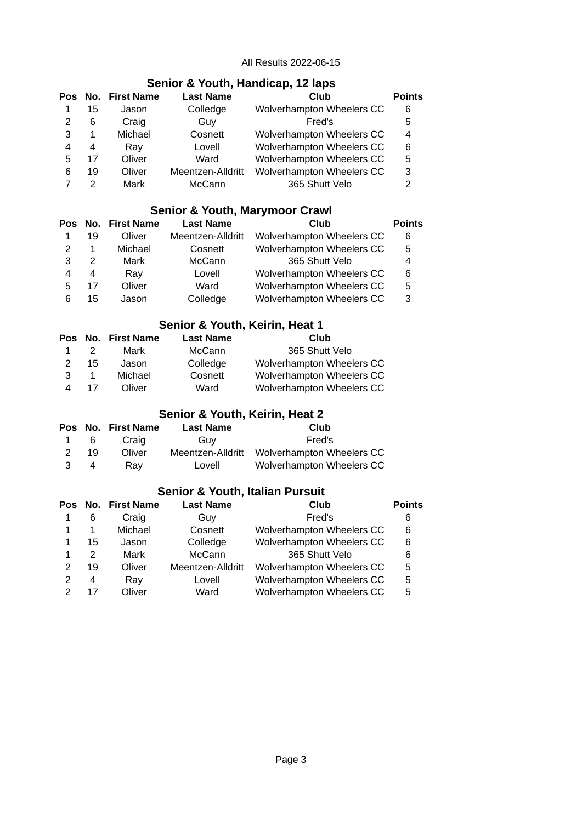## **Senior & Youth, Handicap, 12 laps**

|   |    | Pos No. First Name | <b>Last Name</b>  | Club                      | <b>Points</b> |
|---|----|--------------------|-------------------|---------------------------|---------------|
|   | 15 | Jason              | Colledge          | Wolverhampton Wheelers CC | 6             |
|   | 6  | Craig              | Guy               | Fred's                    | 5             |
| 3 | 1  | Michael            | Cosnett           | Wolverhampton Wheelers CC | 4             |
| 4 | 4  | Ray                | Lovell            | Wolverhampton Wheelers CC | 6             |
| 5 | 17 | Oliver             | Ward              | Wolverhampton Wheelers CC | 5             |
| 6 | 19 | Oliver             | Meentzen-Alldritt | Wolverhampton Wheelers CC | 3             |
|   | 2  | Mark               | McCann            | 365 Shutt Velo            | 2             |

## **Senior & Youth, Marymoor Crawl**

|   |    | Pos No. First Name | <b>Last Name</b>  | Club                      | <b>Points</b> |
|---|----|--------------------|-------------------|---------------------------|---------------|
|   | 19 | Oliver             | Meentzen-Alldritt | Wolverhampton Wheelers CC | 6             |
| 2 | 1  | Michael            | Cosnett           | Wolverhampton Wheelers CC | 5             |
| 3 | 2  | Mark               | McCann            | 365 Shutt Velo            | 4             |
| 4 | 4  | Ray                | Lovell            | Wolverhampton Wheelers CC | 6             |
| 5 | 17 | Oliver             | Ward              | Wolverhampton Wheelers CC | 5             |
| 6 | 15 | Jason              | Colledge          | Wolverhampton Wheelers CC | 3             |

## **Senior & Youth, Keirin, Heat 1**

|    |               | Pos No. First Name | <b>Last Name</b> | Club                      |
|----|---------------|--------------------|------------------|---------------------------|
| 1. | $\mathcal{P}$ | Mark               | McCann           | 365 Shutt Velo            |
| 2  | 15            | Jason              | Colledge         | Wolverhampton Wheelers CC |
| 3  | 1             | Michael            | Cosnett          | Wolverhampton Wheelers CC |
| Δ  | 17            | Oliver             | Ward             | Wolverhampton Wheelers CC |

## **Senior & Youth, Keirin, Heat 2**

|    |          | Pos No. First Name | <b>Last Name</b> | Club                                        |
|----|----------|--------------------|------------------|---------------------------------------------|
|    | 1 6      | Craig              | Guv              | Fred's                                      |
| -2 | 19       | Oliver             |                  | Meentzen-Alldritt Wolverhampton Wheelers CC |
| -3 | $\sim$ 4 | Rav                | Lovell           | Wolverhampton Wheelers CC                   |

## **Senior & Youth, Italian Pursuit**

|   |    | Pos No. First Name | <b>Last Name</b>  | Club                      | <b>Points</b> |
|---|----|--------------------|-------------------|---------------------------|---------------|
|   | 6  | Craig              | Guy               | Fred's                    | 6             |
|   | 1  | Michael            | Cosnett           | Wolverhampton Wheelers CC | 6             |
|   | 15 | Jason              | Colledge          | Wolverhampton Wheelers CC | 6             |
|   | 2  | Mark               | McCann            | 365 Shutt Velo            | 6             |
|   | 19 | Oliver             | Meentzen-Alldritt | Wolverhampton Wheelers CC | 5             |
| 2 | 4  | Ray                | Lovell            | Wolverhampton Wheelers CC | 5             |
|   | 17 | Oliver             | Ward              | Wolverhampton Wheelers CC | 5             |